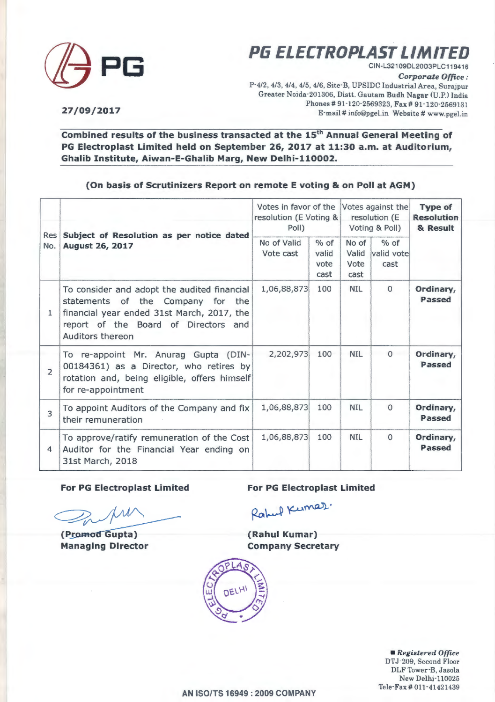

**(]j PG PG ELECTROPLAST LIMITED** 

CIN-L321 09DL2003PLC119416

*Corporate Office:* 

P-4/2, 4/3, 4/4, 4/5, 4/6, Site-B, UPSIDC Industrial Area, Surajpur Greater Noida-201 306, Distt. Gautarn Budh Nagar (U.P.) India Phones # 91-120-2569323, Fax # 91-120-2569131 E·rnail # info@pgel.in Website# www.pgel.in

**27/09/2017** 

Combined results of the business transacted at the 15<sup>th</sup> Annual General Meeting of **PG Electroplast Limited held on September 26, 2017 at 11:30 a.m. at Auditorium, Ghalib Institute, Aiwan-E-Ghalib Marg, New Delhi-110002.** 

### **(On basis of Scrutinizers Report on remote E voting & on Poll at AGM}**

| Res<br>No.              |                                                                                                                                                                                               | Votes in favor of the<br>resolution (E Voting &<br>Poll) | Votes against the<br>resolution (E<br>Voting & Poll) |                                | <b>Type of</b><br><b>Resolution</b><br>& Result |                     |
|-------------------------|-----------------------------------------------------------------------------------------------------------------------------------------------------------------------------------------------|----------------------------------------------------------|------------------------------------------------------|--------------------------------|-------------------------------------------------|---------------------|
|                         | Subject of Resolution as per notice dated<br><b>August 26, 2017</b>                                                                                                                           | No of Valid<br>Vote cast                                 | $%$ of<br>valid<br>vote<br>cast                      | No of<br>Valid<br>Vote<br>cast | $%$ of<br>valid vote<br>cast                    |                     |
| 1                       | To consider and adopt the audited financial<br>statements of the Company<br>for the<br>financial year ended 31st March, 2017, the<br>report of the Board of Directors and<br>Auditors thereon | 1,06,88,873                                              | 100                                                  | <b>NIL</b>                     | $\Omega$                                        | Ordinary,<br>Passed |
| $\overline{2}$          | To re-appoint Mr. Anurag Gupta (DIN-<br>00184361) as a Director, who retires by<br>rotation and, being eligible, offers himself<br>for re-appointment                                         | 2,202,973                                                | 100                                                  | <b>NIL</b>                     | $\overline{0}$                                  | Ordinary,<br>Passed |
| 3                       | To appoint Auditors of the Company and fix<br>their remuneration                                                                                                                              | 1,06,88,873                                              | 100                                                  | <b>NIL</b>                     | $\Omega$                                        | Ordinary,<br>Passed |
| $\overline{\mathbf{4}}$ | To approve/ratify remuneration of the Cost<br>Auditor for the Financial Year ending on<br>31st March, 2018                                                                                    | 1,06,88,873                                              | 100                                                  | <b>NIL</b>                     | $\Omega$                                        | Ordinary,<br>Passed |

**For PG Electroplast Limited For PG Electroplast Limited** 

(Promod Gupta) **Managing Director** 

Rahul Kumaz.

**(Rahul Kumar} Company Secretary** 

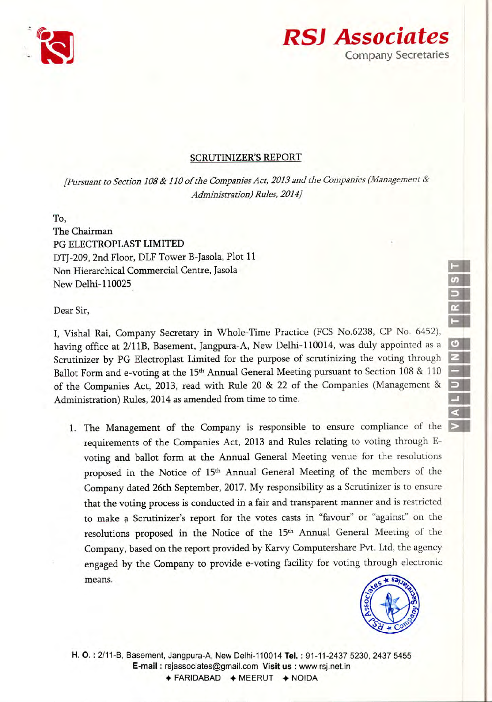



### **SCRUTINIZER'S REPORT**

*[Pursuant to Section 108* & *110 of the Companies Act, 2013 and the Companies (Management & Administration) Rules, 2014j*

To,

The Chairman PG ELECTROPLAST LIMITED DTI-209, 2nd Floor, DLF Tower B-Jasola, Plot 11 Non Hierarchical Commercial Centre, Jasola New Delhi-l10025

Dear Sir,

I, Vishal Rai, Company Secretary in Whole-Time Practice (FCS No.6238, CP No. 6452), having office at 2/11B, Basement, Jangpura-A, New Delhi-110014, was duly appointed as a Scrutinizer by PG Electroplast Limited for the purpose of scrutinizing the voting through Ballot Form and e-voting at the 15<sup>th</sup> Annual General Meeting pursuant to Section 108 & 110 of the Companies Act, 2013, read with Rule 20 & 22 of the Companies (Management & Administration) Rules, 2014 as amended from time to time.

1. The Management of the Company is responsible to ensure compliance of the requirements of the Companies Act, 2013 and Rules relating to voting through Evoting and ballot form at the Annual General Meeting venue for the resolutions proposed in the Notice of 15<sup>th</sup> Annual General Meeting of the members of the Company dated 26th September, 2017.My responsibility as a Scrutinizer is to ensure that the voting process is conducted in a fair and transparent manner and is restricted to make a Scrutinizer's report for the votes casts in "favour" or "against" on the resolutions proposed in the Notice of the 15<sup>th</sup> Annual General Meeting of the Company, based on the report provided by Karvy Computershare Pvt. Ltd, the agency engaged by the Company to provide e-voting facility for voting through electronic means.



1 S D **RUST** 

Ell  $\alpha$ IRUS

 $\circ$  $\frac{8}{2}$ PUIING

 $\overline{P}$ !!II - ..

H. O.: 2/11-B, Basement, Jangpura-A, New Delhi-110014 Tel.: 91-11-2437 5230, 2437 5455 E-mail: rsjassociates@gmail.com Visit us : www.rsj.netin  $\div$  FARIDABAD  $\div$  MEERUT  $\div$  NOIDA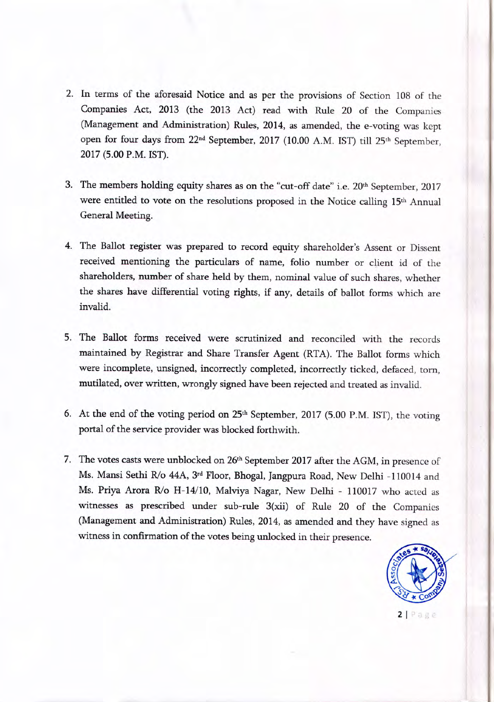- 2. In terms of the aforesaid Notice and as per the provisions of Section 108 of the Companies Act, 2013 (the 2013 Act) read with Rule 20 of the Companies (Management and Administration) Rules, 2014, as amended, the e-voting was kept open for four days from 22<sup>nd</sup> September, 2017 (10.00 A.M. IST) till 25<sup>th</sup> September, 2017 (5.00 P.M. IST).
- 3. The members holding equity shares as on the "cut-off date" i.e. 20<sup>th</sup> September, 2017 were entitled to vote on the resolutions proposed in the Notice calling 15<sup>th</sup> Annual General Meeting.
- 4. The Ballot register was prepared to record equity shareholder's Assent or Dissent received mentioning the particulars of name, folio number or client id of the shareholders, number of share held by them, nominal value of such shares, whether the shares have differential voting rights, if any, details of ballot forms which are invalid.
- 5. The Ballot forms received were scrutinized and reconciled with the records maintained by Registrar and Share Transfer Agent (RTA). The Ballot forms which were incomplete, unsigned, incorrectly completed, incorrectly ticked, defaced, torn, mutilated, over written, wrongly signed have been rejected and treated as invalid.
- 6. At the end of the voting period on  $25<sup>th</sup>$  September,  $2017$  (5.00 P.M. IST), the voting portal of the service provider was blocked forthwith.
- 7. The votes casts were unblocked on 26<sup>th</sup> September 2017 after the AGM, in presence of Ms. Mansi Sethi R/o 44A, 3<sup>rd</sup> Floor, Bhogal, Jangpura Road, New Delhi -110014 and Ms. Priya Arora R/o H-14/10, Malviya Nagar, New Delhi - 110017 who acted as witnesses as prescribed under sub-rule 3(xii) of Rule 20 of the Companies (Management and Administration) Rules, 2014, as amended and they have signed as witness in confirmation of the votes being unlocked in their presence.

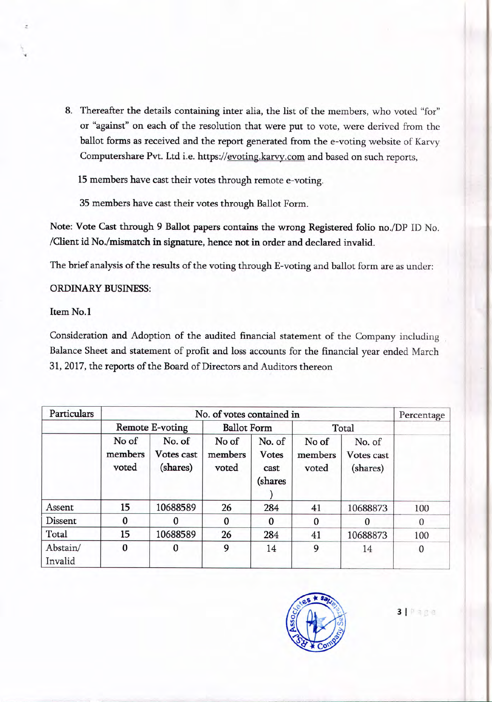8. Thereafter the details containing inter alia, the list of the members, who voted "for" or "against" on each of the resolution that were put to vote, were derived from the ballot forms as received and the report generated from the e-voting website of Karvy Computershare Pvt. Ltd i.e. https://evoting.karvy.com and based on such reports,

15 members have cast their votes through remote e-voting.

35 members have cast their votes through Ballot Form.

Note: Vote Cast through 9 Ballot papers contains the wrong Registered folio no./DP ID No. /Client id No./mismatch in signature, hence not in order and declared invalid.

The brief analysis of the results of the voting through E-voting and ballot form are as under:

### ORDINARY BUSINESS:

## Item No.1

Consideration and Adoption of the audited financial statement of the Company including Balance Sheet and statement of profit and loss accounts for the financial year ended March 31, 2017, the reports of the Board of Directors and Auditors thereon

| Particulars         |                           | Percentage                       |                           |                                           |                           |                                  |          |
|---------------------|---------------------------|----------------------------------|---------------------------|-------------------------------------------|---------------------------|----------------------------------|----------|
|                     | Remote E-voting           |                                  | <b>Ballot Form</b>        |                                           | Total                     |                                  |          |
|                     | No of<br>members<br>voted | No. of<br>Votes cast<br>(shares) | No of<br>members<br>voted | No. of<br><b>Votes</b><br>cast<br>(shares | No of<br>members<br>voted | No. of<br>Votes cast<br>(shares) |          |
| Assent              | 15                        | 10688589                         | 26                        | 284                                       | 41                        | 10688873                         | 100      |
| Dissent             | $\Omega$                  | 0                                | 0                         | $\bf{0}$                                  | $\bf{0}$                  | $\Omega$                         | $\theta$ |
| Total               | 15                        | 10688589                         | 26                        | 284                                       | 41                        | 10688873                         | 100      |
| Abstain/<br>Invalid | $\mathbf{0}$              | $\bf{0}$                         | 9                         | 14                                        | 9                         | 14                               | 0        |



**3** | Page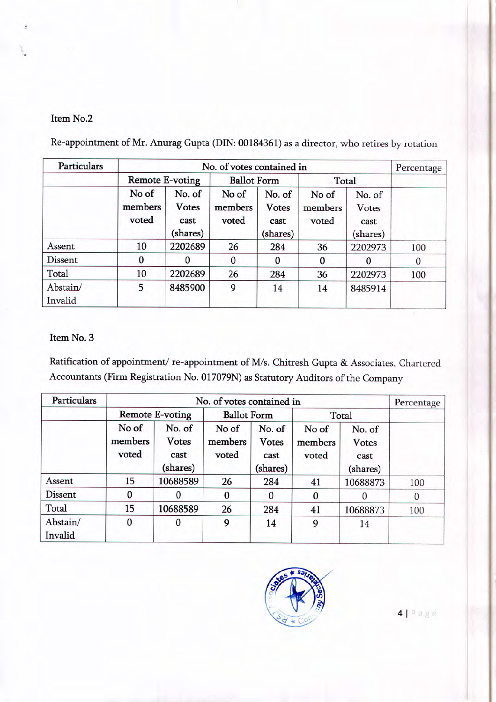## Item No.2

Re-appointment of Mr. Anurag Gupta (DIN: 00184361) as a director, who retires by rotation

| <b>Particulars</b>  |                           | Percentage                                 |                           |                                            |                           |                                     |              |
|---------------------|---------------------------|--------------------------------------------|---------------------------|--------------------------------------------|---------------------------|-------------------------------------|--------------|
|                     | Remote E-voting           |                                            | <b>Ballot Form</b>        |                                            | Total                     |                                     |              |
|                     | No of<br>members<br>voted | No. of<br><b>Votes</b><br>cast<br>(shares) | No of<br>members<br>voted | No. of<br><b>Votes</b><br>cast<br>(shares) | No of<br>members<br>voted | No. of<br>Votes<br>cast<br>(shares) |              |
| Assent              | 10                        | 2202689                                    | 26                        | 284                                        | 36                        | 2202973                             | 100          |
| Dissent             | 0                         |                                            | $\Omega$                  | $\Omega$                                   | $\bf{0}$                  | $\Omega$                            | $\mathbf{0}$ |
| Total               | 10                        | 2202689                                    | 26                        | 284                                        | 36                        | 2202973                             | 100          |
| Abstain/<br>Invalid | 5                         | 8485900                                    | 9                         | 14                                         | 14                        | 8485914                             |              |

# Item No.3

Ratification of appointment/ re-appointment of M/s. Chitresh Gupta & Associates, Chartered Accountants (Firm Registration No. 017079N) as Statutory Auditors of the Company

| Particulars         |                           | Percentage                                 |                           |                                            |                           |                                             |          |
|---------------------|---------------------------|--------------------------------------------|---------------------------|--------------------------------------------|---------------------------|---------------------------------------------|----------|
|                     | Remote E-voting           |                                            | <b>Ballot Form</b>        |                                            | Total                     |                                             |          |
|                     | No of<br>members<br>voted | No. of<br><b>Votes</b><br>cast<br>(shares) | No of<br>members<br>voted | No. of<br><b>Votes</b><br>cast<br>(shares) | No of<br>members<br>voted | No. of<br><b>V</b> otes<br>cast<br>(shares) |          |
| Assent              | 15                        | 10688589                                   | 26                        | 284                                        | 41                        | 10688873                                    | 100      |
| Dissent             | 0                         |                                            | $\bf{0}$                  | $\Omega$                                   | $\Omega$                  |                                             | $\theta$ |
| Total               | 15                        | 10688589                                   | 26                        | 284                                        | 41                        | 10688873                                    | 100      |
| Abstain/<br>Invalid | $\bf{0}$                  | 0                                          | 9                         | 14                                         | 9                         | 14                                          |          |



4| Page